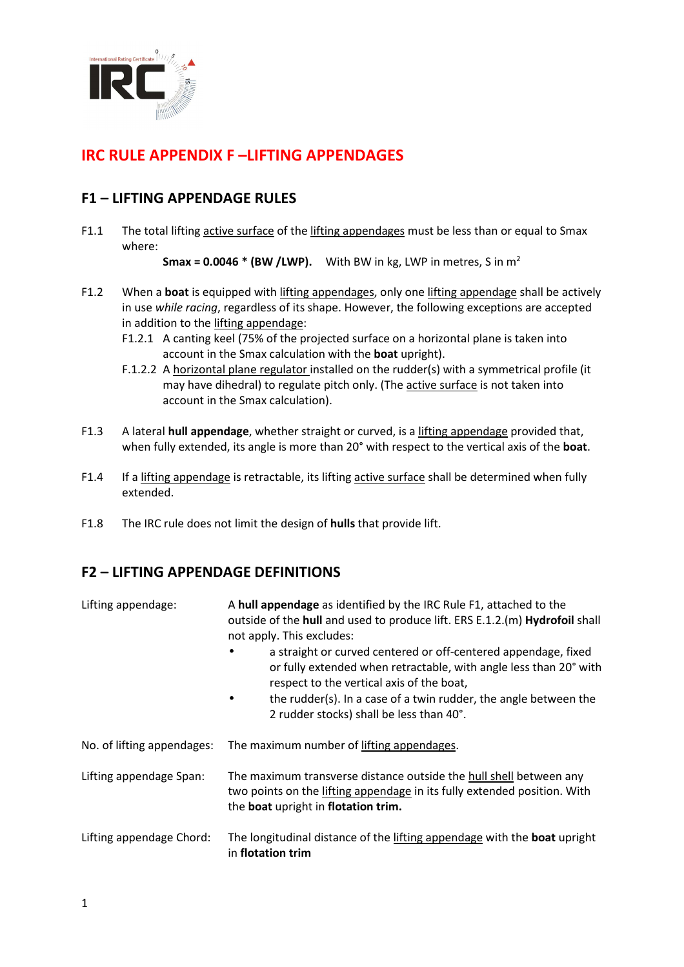

# **IRC RULE APPENDIX F –LIFTING APPENDAGES**

### **F1 – LIFTING APPENDAGE RULES**

F1.1 The total lifting active surface of the lifting appendages must be less than or equal to Smax where:

**Smax = 0.0046 \* (BW /LWP).** With BW in kg, LWP in metres, S in  $m^2$ 

- F1.2 When a **boat** is equipped with lifting appendages, only one lifting appendage shall be actively in use *while racing*, regardless of its shape. However, the following exceptions are accepted in addition to the lifting appendage:
	- F1.2.1 A canting keel (75% of the projected surface on a horizontal plane is taken into account in the Smax calculation with the **boat** upright).
	- F.1.2.2 A horizontal plane regulator installed on the rudder(s) with a symmetrical profile (it may have dihedral) to regulate pitch only. (The active surface is not taken into account in the Smax calculation).
- F1.3 A lateral **hull appendage**, whether straight or curved, is a lifting appendage provided that, when fully extended, its angle is more than 20° with respect to the vertical axis of the **boat**.
- F1.4 If a lifting appendage is retractable, its lifting active surface shall be determined when fully extended.
- F1.8 The IRC rule does not limit the design of **hulls** that provide lift.

## **F2 – LIFTING APPENDAGE DEFINITIONS**

| Lifting appendage:         | A hull appendage as identified by the IRC Rule F1, attached to the<br>outside of the hull and used to produce lift. ERS E.1.2.(m) Hydrofoil shall<br>not apply. This excludes:<br>a straight or curved centered or off-centered appendage, fixed<br>or fully extended when retractable, with angle less than 20° with<br>respect to the vertical axis of the boat,<br>the rudder(s). In a case of a twin rudder, the angle between the<br>2 rudder stocks) shall be less than 40°. |
|----------------------------|------------------------------------------------------------------------------------------------------------------------------------------------------------------------------------------------------------------------------------------------------------------------------------------------------------------------------------------------------------------------------------------------------------------------------------------------------------------------------------|
| No. of lifting appendages: | The maximum number of lifting appendages.                                                                                                                                                                                                                                                                                                                                                                                                                                          |
| Lifting appendage Span:    | The maximum transverse distance outside the hull shell between any<br>two points on the lifting appendage in its fully extended position. With<br>the boat upright in flotation trim.                                                                                                                                                                                                                                                                                              |
| Lifting appendage Chord:   | The longitudinal distance of the lifting appendage with the boat upright<br>in flotation trim                                                                                                                                                                                                                                                                                                                                                                                      |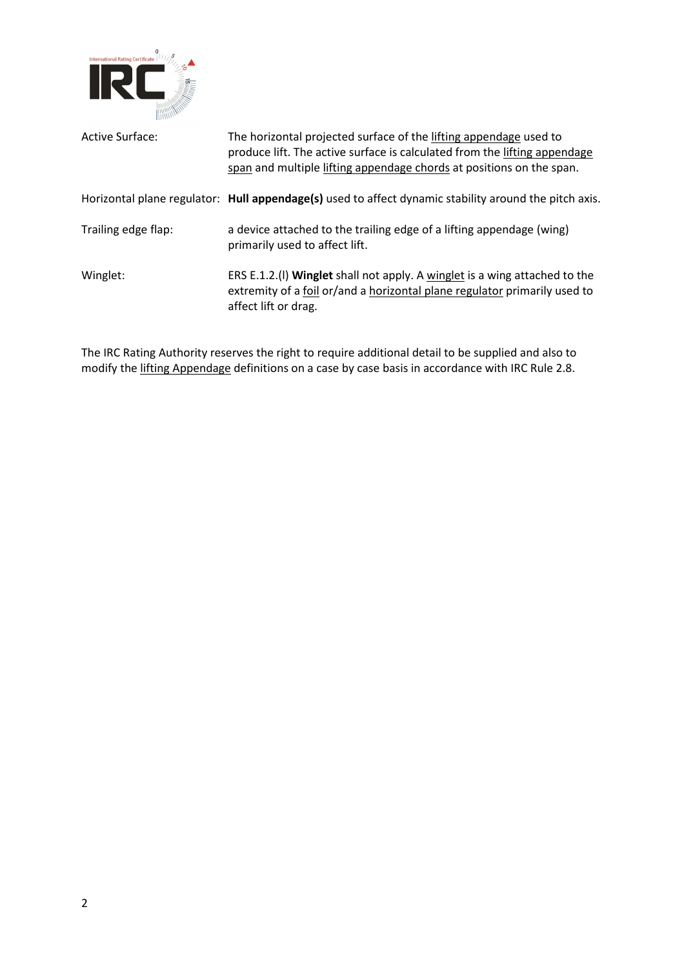

| Active Surface:     | The horizontal projected surface of the lifting appendage used to<br>produce lift. The active surface is calculated from the lifting appendage<br>span and multiple lifting appendage chords at positions on the span. |
|---------------------|------------------------------------------------------------------------------------------------------------------------------------------------------------------------------------------------------------------------|
|                     | Horizontal plane regulator: Hull appendage(s) used to affect dynamic stability around the pitch axis.                                                                                                                  |
| Trailing edge flap: | a device attached to the trailing edge of a lifting appendage (wing)<br>primarily used to affect lift.                                                                                                                 |
| Winglet:            | ERS E.1.2.(I) Winglet shall not apply. A winglet is a wing attached to the<br>extremity of a foil or/and a horizontal plane regulator primarily used to<br>affect lift or drag.                                        |

The IRC Rating Authority reserves the right to require additional detail to be supplied and also to modify the lifting Appendage definitions on a case by case basis in accordance with IRC Rule 2.8.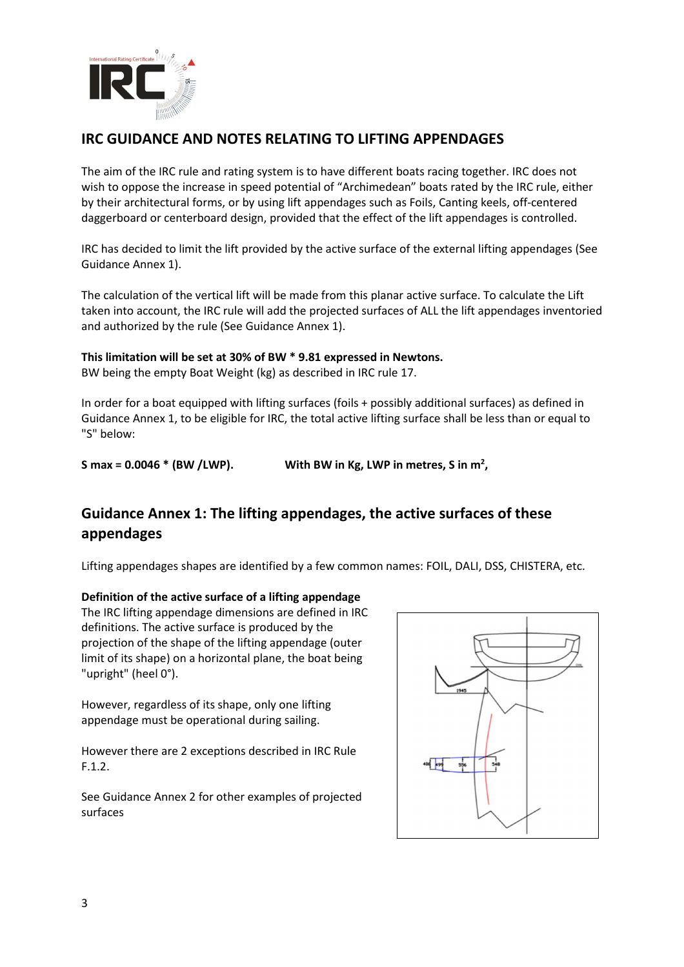

## **IRC GUIDANCE AND NOTES RELATING TO LIFTING APPENDAGES**

The aim of the IRC rule and rating system is to have different boats racing together. IRC does not wish to oppose the increase in speed potential of "Archimedean" boats rated by the IRC rule, either by their architectural forms, or by using lift appendages such as Foils, Canting keels, off-centered daggerboard or centerboard design, provided that the effect of the lift appendages is controlled.

IRC has decided to limit the lift provided by the active surface of the external lifting appendages (See Guidance Annex 1).

The calculation of the vertical lift will be made from this planar active surface. To calculate the Lift taken into account, the IRC rule will add the projected surfaces of ALL the lift appendages inventoried and authorized by the rule (See Guidance Annex 1).

#### **This limitation will be set at 30% of BW \* 9.81 expressed in Newtons.**

BW being the empty Boat Weight (kg) as described in IRC rule 17.

In order for a boat equipped with lifting surfaces (foils + possibly additional surfaces) as defined in Guidance Annex 1, to be eligible for IRC, the total active lifting surface shall be less than or equal to "S" below:

**S** max =  $0.0046 * (BW / LWP)$ . With BW in Kg, LWP in metres, S in m<sup>2</sup>,

# **Guidance Annex 1: The lifting appendages, the active surfaces of these appendages**

Lifting appendages shapes are identified by a few common names: FOIL, DALI, DSS, CHISTERA, etc.

#### **Definition of the active surface of a lifting appendage**

The IRC lifting appendage dimensions are defined in IRC definitions. The active surface is produced by the projection of the shape of the lifting appendage (outer limit of its shape) on a horizontal plane, the boat being "upright" (heel 0°).

However, regardless of its shape, only one lifting appendage must be operational during sailing.

However there are 2 exceptions described in IRC Rule F.1.2.

See Guidance Annex 2 for other examples of projected surfaces

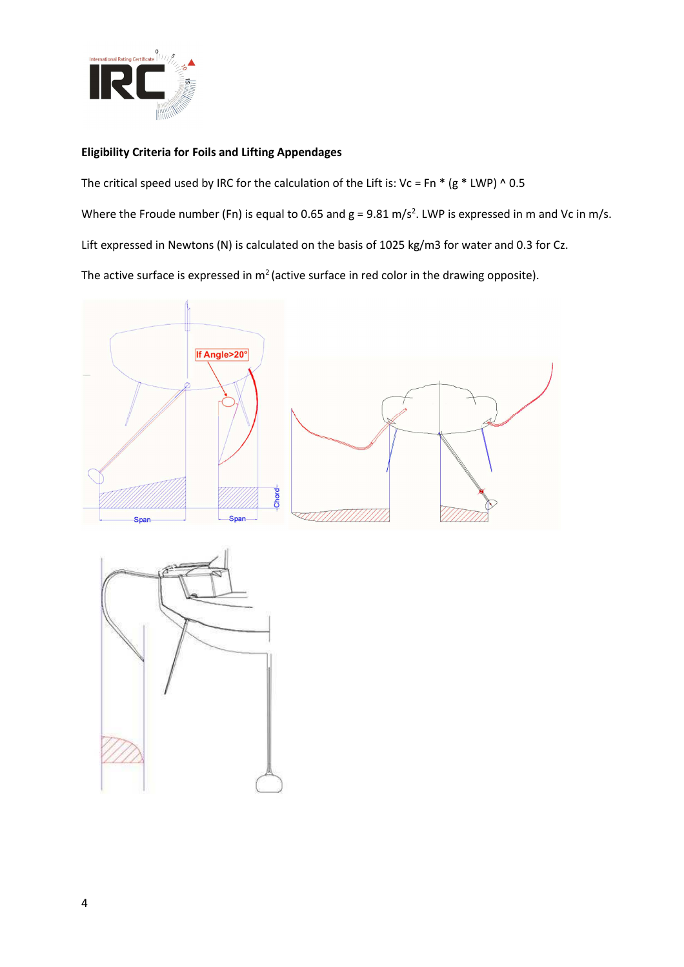

#### **Eligibility Criteria for Foils and Lifting Appendages**

The critical speed used by IRC for the calculation of the Lift is: Vc = Fn  $*$  (g  $*$  LWP) ^ 0.5 Where the Froude number (Fn) is equal to 0.65 and  $g = 9.81$  m/s<sup>2</sup>. LWP is expressed in m and Vc in m/s. Lift expressed in Newtons (N) is calculated on the basis of 1025 kg/m3 for water and 0.3 for Cz. The active surface is expressed in  $m^2$  (active surface in red color in the drawing opposite).